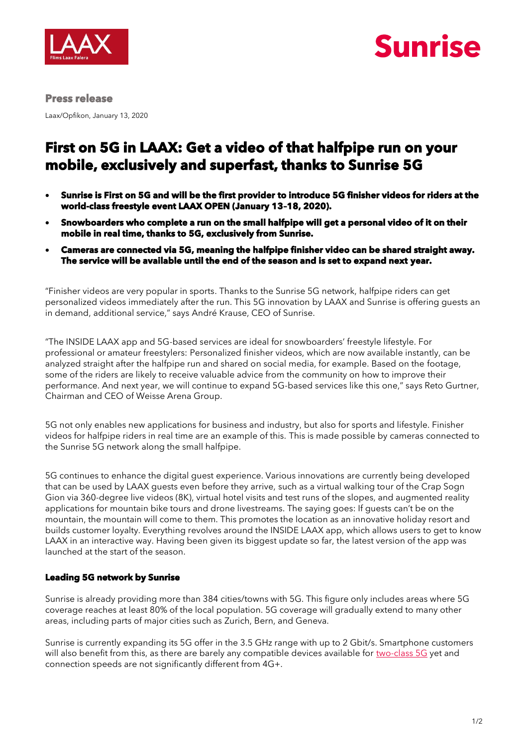



#### **Press release**

Laax/Opfikon, January 13, 2020

# **First on 5G in LAAX: Get a video of that halfpipe run on your mobile, exclusively and superfast, thanks to Sunrise 5G**

- **Sunrise is First on 5G and will be the first provider to introduce 5G finisher videos for riders at the world-class freestyle event LAAX OPEN (January 13–18, 2020).**
- **Snowboarders who complete a run on the small halfpipe will get a personal video of it on their mobile in real time, thanks to 5G, exclusively from Sunrise.**
- **Cameras are connected via 5G, meaning the halfpipe finisher video can be shared straight away. The service will be available until the end of the season and is set to expand next year.**

"Finisher videos are very popular in sports. Thanks to the Sunrise 5G network, halfpipe riders can get personalized videos immediately after the run. This 5G innovation by LAAX and Sunrise is offering guests an in demand, additional service," says André Krause, CEO of Sunrise.

"The INSIDE LAAX app and 5G-based services are ideal for snowboarders' freestyle lifestyle. For professional or amateur freestylers: Personalized finisher videos, which are now available instantly, can be analyzed straight after the halfpipe run and shared on social media, for example. Based on the footage, some of the riders are likely to receive valuable advice from the community on how to improve their performance. And next year, we will continue to expand 5G-based services like this one," says Reto Gurtner, Chairman and CEO of Weisse Arena Group.

5G not only enables new applications for business and industry, but also for sports and lifestyle. Finisher videos for halfpipe riders in real time are an example of this. This is made possible by cameras connected to the Sunrise 5G network along the small halfpipe.

5G continues to enhance the digital guest experience. Various innovations are currently being developed that can be used by LAAX guests even before they arrive, such as a virtual walking tour of the Crap Sogn Gion via 360-degree live videos (8K), virtual hotel visits and test runs of the slopes, and augmented reality applications for mountain bike tours and drone livestreams. The saying goes: If guests can't be on the mountain, the mountain will come to them. This promotes the location as an innovative holiday resort and builds customer loyalty. Everything revolves around the INSIDE LAAX app, which allows users to get to know LAAX in an interactive way. Having been given its biggest update so far, the latest version of the app was launched at the start of the season.

### **Leading 5G network by Sunrise**

Sunrise is already providing more than 384 cities/towns with 5G. This figure only includes areas where 5G coverage reaches at least 80% of the local population. 5G coverage will gradually extend to many other areas, including parts of major cities such as Zurich, Bern, and Geneva.

Sunrise is currently expanding its 5G offer in the 3.5 GHz range with up to 2 Gbit/s. Smartphone customers will also benefit from this, as there are barely any compatible devices available for [two-class 5G](https://www.golem.de/news/ericsson-swisscom-beginnt-5g-ausbau-auch-indoor-1907-142730.html) yet and connection speeds are not significantly different from 4G+.